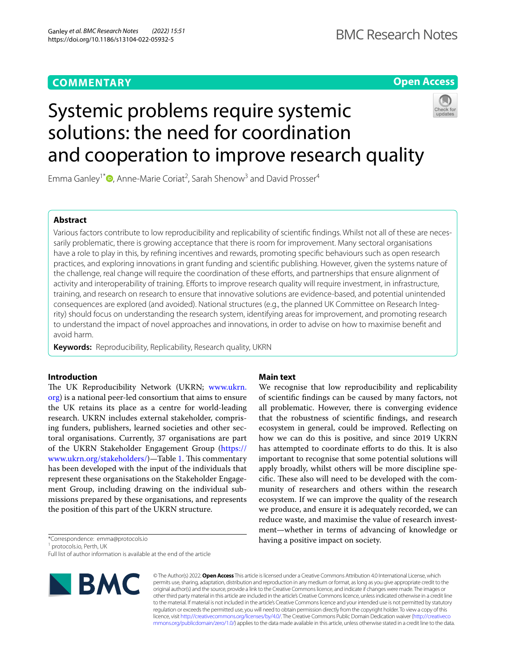## **COMMENTARY**

**Open Access**

## Systemic problems require systemic solutions: the need for coordination and cooperation to improve research quality



Emma Ganley<sup>1\*</sup><sup>®</sup>[,](http://orcid.org/0000-0002-2557-6204) Anne-Marie Coriat<sup>2</sup>, Sarah Shenow<sup>3</sup> and David Prosser<sup>4</sup>

## **Abstract**

Various factors contribute to low reproducibility and replicability of scientific findings. Whilst not all of these are necessarily problematic, there is growing acceptance that there is room for improvement. Many sectoral organisations have a role to play in this, by refning incentives and rewards, promoting specifc behaviours such as open research practices, and exploring innovations in grant funding and scientifc publishing. However, given the systems nature of the challenge, real change will require the coordination of these eforts, and partnerships that ensure alignment of activity and interoperability of training. Efforts to improve research quality will require investment, in infrastructure, training, and research on research to ensure that innovative solutions are evidence-based, and potential unintended consequences are explored (and avoided). National structures (e.g., the planned UK Committee on Research Integrity) should focus on understanding the research system, identifying areas for improvement, and promoting research to understand the impact of novel approaches and innovations, in order to advise on how to maximise beneft and avoid harm.

**Keywords:** Reproducibility, Replicability, Research quality, UKRN

## **Introduction**

The UK Reproducibility Network (UKRN; [www.ukrn.](http://www.ukrn.org) [org](http://www.ukrn.org)) is a national peer-led consortium that aims to ensure the UK retains its place as a centre for world-leading research. UKRN includes external stakeholder, comprising funders, publishers, learned societies and other sectoral organisations. Currently, 37 organisations are part of the UKRN Stakeholder Engagement Group [\(https://](https://www.ukrn.org/stakeholders/) [www.ukrn.org/stakeholders/](https://www.ukrn.org/stakeholders/))—Table [1](#page-1-0). This commentary has been developed with the input of the individuals that represent these organisations on the Stakeholder Engagement Group, including drawing on the individual submissions prepared by these organisations, and represents the position of this part of the UKRN structure.

\*Correspondence: emma@protocols.io

<sup>1</sup> protocols.io, Perth, UK

Full list of author information is available at the end of the article

# **NBMC**

## **Main text**

We recognise that low reproducibility and replicability of scientifc fndings can be caused by many factors, not all problematic. However, there is converging evidence that the robustness of scientifc fndings, and research ecosystem in general, could be improved. Refecting on how we can do this is positive, and since 2019 UKRN has attempted to coordinate efforts to do this. It is also important to recognise that some potential solutions will apply broadly, whilst others will be more discipline specific. These also will need to be developed with the community of researchers and others within the research ecosystem. If we can improve the quality of the research we produce, and ensure it is adequately recorded, we can reduce waste, and maximise the value of research investment—whether in terms of advancing of knowledge or having a positive impact on society.

© The Author(s) 2022. **Open Access** This article is licensed under a Creative Commons Attribution 4.0 International License, which permits use, sharing, adaptation, distribution and reproduction in any medium or format, as long as you give appropriate credit to the original author(s) and the source, provide a link to the Creative Commons licence, and indicate if changes were made. The images or other third party material in this article are included in the article's Creative Commons licence, unless indicated otherwise in a credit line to the material. If material is not included in the article's Creative Commons licence and your intended use is not permitted by statutory regulation or exceeds the permitted use, you will need to obtain permission directly from the copyright holder. To view a copy of this licence, visit [http://creativecommons.org/licenses/by/4.0/.](http://creativecommons.org/licenses/by/4.0/) The Creative Commons Public Domain Dedication waiver ([http://creativeco](http://creativecommons.org/publicdomain/zero/1.0/) [mmons.org/publicdomain/zero/1.0/](http://creativecommons.org/publicdomain/zero/1.0/)) applies to the data made available in this article, unless otherwise stated in a credit line to the data.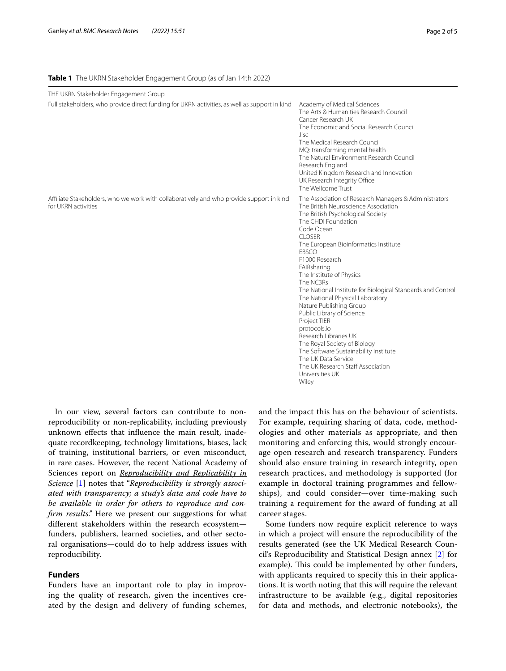## <span id="page-1-0"></span>**Table 1** The UKRN Stakeholder Engagement Group (as of Jan 14th 2022)

| THE UKRN Stakeholder Engagement Group                                                                           |                                                                                                                                                                                                                                                                                                                                                                                                                                                                                                                                                                                                                                                                                                                  |
|-----------------------------------------------------------------------------------------------------------------|------------------------------------------------------------------------------------------------------------------------------------------------------------------------------------------------------------------------------------------------------------------------------------------------------------------------------------------------------------------------------------------------------------------------------------------------------------------------------------------------------------------------------------------------------------------------------------------------------------------------------------------------------------------------------------------------------------------|
| Full stakeholders, who provide direct funding for UKRN activities, as well as support in kind                   | Academy of Medical Sciences<br>The Arts & Humanities Research Council<br>Cancer Research UK<br>The Economic and Social Research Council<br>Jisc<br>The Medical Research Council<br>MQ: transforming mental health<br>The Natural Environment Research Council<br>Research England<br>United Kingdom Research and Innovation<br>UK Research Integrity Office<br>The Wellcome Trust                                                                                                                                                                                                                                                                                                                                |
| Affiliate Stakeholders, who we work with collaboratively and who provide support in kind<br>for UKRN activities | The Association of Research Managers & Administrators<br>The British Neuroscience Association<br>The British Psychological Society<br>The CHDI Foundation<br>Code Ocean<br><b>CLOSER</b><br>The European Bioinformatics Institute<br><b>FBSCO</b><br>F1000 Research<br>FAIRsharing<br>The Institute of Physics<br>The NC3Rs<br>The National Institute for Biological Standards and Control<br>The National Physical Laboratory<br>Nature Publishing Group<br>Public Library of Science<br>Project TIER<br>protocols.io<br>Research Libraries UK<br>The Royal Society of Biology<br>The Software Sustainability Institute<br>The UK Data Service<br>The UK Research Staff Association<br>Universities UK<br>Wiley |

In our view, several factors can contribute to nonreproducibility or non-replicability, including previously unknown efects that infuence the main result, inadequate recordkeeping, technology limitations, biases, lack of training, institutional barriers, or even misconduct, in rare cases. However, the recent National Academy of Sciences report on *Reproducibility and Replicability in Science* [[1\]](#page-4-0) notes that "*Reproducibility is strongly associated with transparency; a study's data and code have to be available in order for others to reproduce and confrm results."* Here we present our suggestions for what diferent stakeholders within the research ecosystem funders, publishers, learned societies, and other sectoral organisations—could do to help address issues with reproducibility.

## **Funders**

Funders have an important role to play in improving the quality of research, given the incentives created by the design and delivery of funding schemes, and the impact this has on the behaviour of scientists. For example, requiring sharing of data, code, methodologies and other materials as appropriate, and then monitoring and enforcing this, would strongly encourage open research and research transparency. Funders should also ensure training in research integrity, open research practices, and methodology is supported (for example in doctoral training programmes and fellowships), and could consider—over time-making such training a requirement for the award of funding at all career stages.

Some funders now require explicit reference to ways in which a project will ensure the reproducibility of the results generated (see the UK Medical Research Council's Reproducibility and Statistical Design annex [\[2](#page-4-1)] for example). This could be implemented by other funders, with applicants required to specify this in their applications. It is worth noting that this will require the relevant infrastructure to be available (e.g., digital repositories for data and methods, and electronic notebooks), the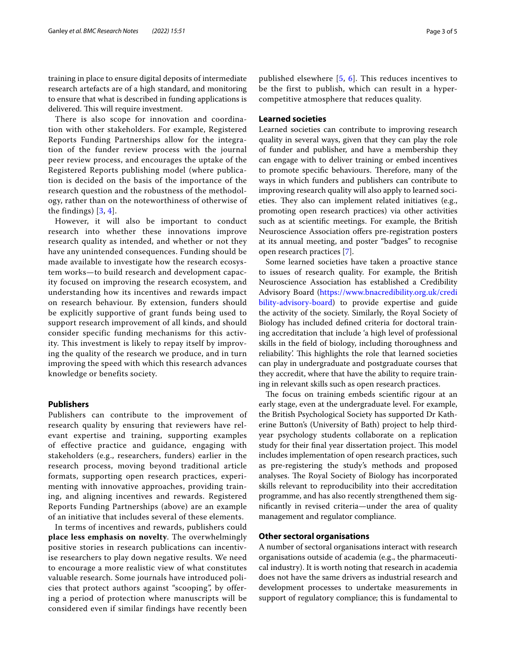training in place to ensure digital deposits of intermediate research artefacts are of a high standard, and monitoring to ensure that what is described in funding applications is delivered. This will require investment.

There is also scope for innovation and coordination with other stakeholders. For example, Registered Reports Funding Partnerships allow for the integration of the funder review process with the journal peer review process, and encourages the uptake of the Registered Reports publishing model (where publication is decided on the basis of the importance of the research question and the robustness of the methodology, rather than on the noteworthiness of otherwise of the findings) [[3,](#page-4-2) [4\]](#page-4-3).

However, it will also be important to conduct research into whether these innovations improve research quality as intended, and whether or not they have any unintended consequences. Funding should be made available to investigate how the research ecosystem works—to build research and development capacity focused on improving the research ecosystem, and understanding how its incentives and rewards impact on research behaviour. By extension, funders should be explicitly supportive of grant funds being used to support research improvement of all kinds, and should consider specific funding mechanisms for this activity. This investment is likely to repay itself by improving the quality of the research we produce, and in turn improving the speed with which this research advances knowledge or benefits society.

## **Publishers**

Publishers can contribute to the improvement of research quality by ensuring that reviewers have relevant expertise and training, supporting examples of effective practice and guidance, engaging with stakeholders (e.g., researchers, funders) earlier in the research process, moving beyond traditional article formats, supporting open research practices, experimenting with innovative approaches, providing training, and aligning incentives and rewards. Registered Reports Funding Partnerships (above) are an example of an initiative that includes several of these elements.

In terms of incentives and rewards, publishers could **place less emphasis on novelty**. The overwhelmingly positive stories in research publications can incentivise researchers to play down negative results. We need to encourage a more realistic view of what constitutes valuable research. Some journals have introduced policies that protect authors against "scooping", by offering a period of protection where manuscripts will be considered even if similar findings have recently been

published elsewhere [[5](#page-4-4), [6](#page-4-5)]. This reduces incentives to be the first to publish, which can result in a hypercompetitive atmosphere that reduces quality.

## **Learned societies**

Learned societies can contribute to improving research quality in several ways, given that they can play the role of funder and publisher, and have a membership they can engage with to deliver training or embed incentives to promote specific behaviours. Therefore, many of the ways in which funders and publishers can contribute to improving research quality will also apply to learned societies. They also can implement related initiatives (e.g., promoting open research practices) via other activities such as at scientifc meetings. For example, the British Neuroscience Association offers pre-registration posters at its annual meeting, and poster "badges" to recognise open research practices [\[7](#page-4-6)].

Some learned societies have taken a proactive stance to issues of research quality. For example, the British Neuroscience Association has established a Credibility Advisory Board ([https://www.bnacredibility.org.uk/credi](https://www.bnacredibility.org.uk/credibility-advisory-board) [bility-advisory-board](https://www.bnacredibility.org.uk/credibility-advisory-board)) to provide expertise and guide the activity of the society. Similarly, the Royal Society of Biology has included defned criteria for doctoral training accreditation that include 'a high level of professional skills in the feld of biology, including thoroughness and reliability'. This highlights the role that learned societies can play in undergraduate and postgraduate courses that they accredit, where that have the ability to require training in relevant skills such as open research practices.

The focus on training embeds scientific rigour at an early stage, even at the undergraduate level. For example, the British Psychological Society has supported Dr Katherine Button's (University of Bath) project to help thirdyear psychology students collaborate on a replication study for their final year dissertation project. This model includes implementation of open research practices, such as pre-registering the study's methods and proposed analyses. The Royal Society of Biology has incorporated skills relevant to reproducibility into their accreditation programme, and has also recently strengthened them signifcantly in revised criteria—under the area of quality management and regulator compliance.

## **Other sectoral organisations**

A number of sectoral organisations interact with research organisations outside of academia (e.g., the pharmaceutical industry). It is worth noting that research in academia does not have the same drivers as industrial research and development processes to undertake measurements in support of regulatory compliance; this is fundamental to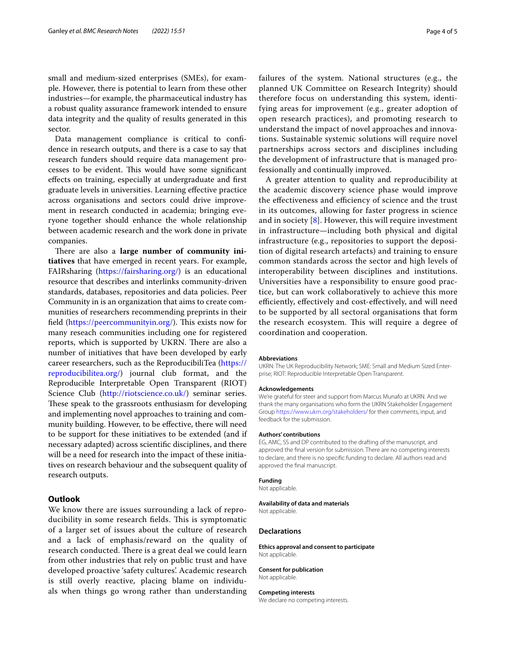small and medium-sized enterprises (SMEs), for example. However, there is potential to learn from these other industries—for example, the pharmaceutical industry has a robust quality assurance framework intended to ensure data integrity and the quality of results generated in this sector.

Data management compliance is critical to confdence in research outputs, and there is a case to say that research funders should require data management processes to be evident. This would have some significant efects on training, especially at undergraduate and frst graduate levels in universities. Learning efective practice across organisations and sectors could drive improvement in research conducted in academia; bringing everyone together should enhance the whole relationship between academic research and the work done in private companies.

There are also a **large number of community initiatives** that have emerged in recent years. For example, FAIRsharing ([https://fairsharing.org/\)](https://fairsharing.org/) is an educational resource that describes and interlinks community-driven standards, databases, repositories and data policies. Peer Community in is an organization that aims to create communities of researchers recommending preprints in their field ([https://peercommunityin.org/\)](https://peercommunityin.org/). This exists now for many reseach communities including one for registered reports, which is supported by UKRN. There are also a number of initiatives that have been developed by early career researchers, such as the ReproducibiliTea [\(https://](https://reproducibilitea.org/) [reproducibilitea.org/\)](https://reproducibilitea.org/) journal club format, and the Reproducible Interpretable Open Transparent (RIOT) Science Club [\(http://riotscience.co.uk/](http://riotscience.co.uk/)) seminar series. These speak to the grassroots enthusiasm for developing and implementing novel approaches to training and community building. However, to be efective, there will need to be support for these initiatives to be extended (and if necessary adapted) across scientifc disciplines, and there will be a need for research into the impact of these initiatives on research behaviour and the subsequent quality of research outputs.

## **Outlook**

We know there are issues surrounding a lack of reproducibility in some research fields. This is symptomatic of a larger set of issues about the culture of research and a lack of emphasis/reward on the quality of research conducted. There is a great deal we could learn from other industries that rely on public trust and have developed proactive 'safety cultures'. Academic research is still overly reactive, placing blame on individuals when things go wrong rather than understanding failures of the system. National structures (e.g., the planned UK Committee on Research Integrity) should therefore focus on understanding this system, identifying areas for improvement (e.g., greater adoption of open research practices), and promoting research to understand the impact of novel approaches and innovations. Sustainable systemic solutions will require novel partnerships across sectors and disciplines including the development of infrastructure that is managed professionally and continually improved.

A greater attention to quality and reproducibility at the academic discovery science phase would improve the effectiveness and efficiency of science and the trust in its outcomes, allowing for faster progress in science and in society  $[8]$ . However, this will require investment in infrastructure—including both physical and digital infrastructure (e.g., repositories to support the deposition of digital research artefacts) and training to ensure common standards across the sector and high levels of interoperability between disciplines and institutions. Universities have a responsibility to ensure good practice, but can work collaboratively to achieve this more efficiently, effectively and cost-effectively, and will need to be supported by all sectoral organisations that form the research ecosystem. This will require a degree of coordination and cooperation.

#### **Abbreviations**

UKRN: The UK Reproducibility Network; SME: Small and Medium Sized Enter‑ prise; RIOT: Reproducible Interpretable Open Transparent.

#### **Acknowledgements**

We're grateful for steer and support from Marcus Munafo at UKRN. And we thank the many organisations who form the UKRN Stakeholder Engagement Group<https://www.ukrn.org/stakeholders/>for their comments, input, and feedback for the submission.

#### **Authors' contributions**

EG, AMC, SS and DP contributed to the drafting of the manuscript, and approved the fnal version for submission. There are no competing interests to declare, and there is no specifc funding to declare. All authors read and approved the fnal manuscript.

#### **Funding**

Not applicable.

**Availability of data and materials** Not applicable.

#### **Declarations**

**Ethics approval and consent to participate** Not applicable.

#### **Consent for publication**

Not applicable.

#### **Competing interests**

We declare no competing interests.